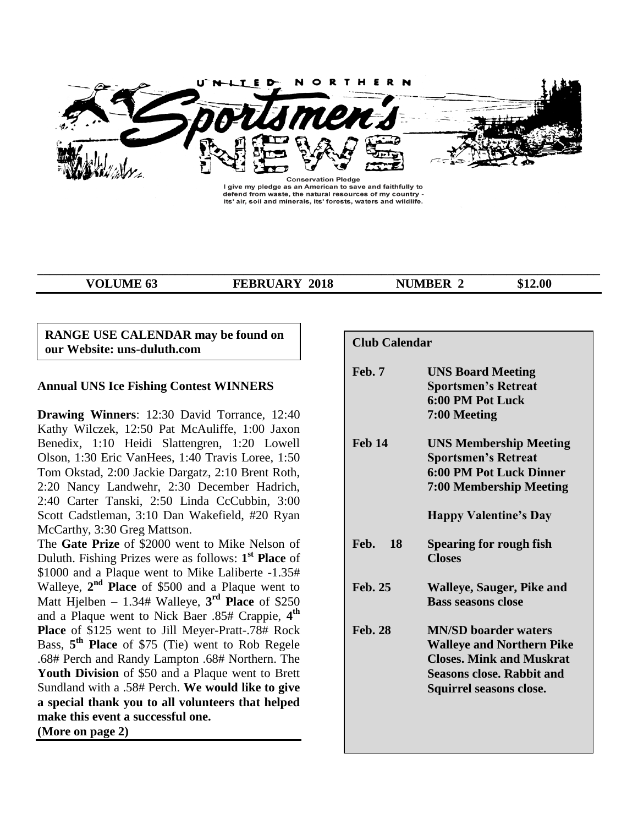

I give my pledge as an American to save and faithfully to defend from waste, the natural resources of my country -<br>its' air, soil and minerals, its' forests, waters and wildlife.

**\_\_\_\_\_\_\_\_\_\_\_\_\_\_\_\_\_\_\_\_\_\_\_\_\_\_\_\_\_\_\_\_\_\_\_\_\_\_\_\_\_\_\_\_\_\_\_\_\_\_\_\_\_\_\_\_\_\_\_\_\_\_\_\_\_\_\_\_\_\_\_\_\_\_\_\_\_\_\_\_\_\_\_\_\_\_\_\_\_\_**

**VOLUME 63 FEBRUARY 2018 NUMBER 2** \$12.00

# **RANGE USE CALENDAR may be found on our Website: uns-duluth.com**

# **Annual UNS Ice Fishing Contest WINNERS**

**Drawing Winners**: 12:30 David Torrance, 12:40 Kathy Wilczek, 12:50 Pat McAuliffe, 1:00 Jaxon Benedix, 1:10 Heidi Slattengren, 1:20 Lowell Olson, 1:30 Eric VanHees, 1:40 Travis Loree, 1:50 Tom Okstad, 2:00 Jackie Dargatz, 2:10 Brent Roth, 2:20 Nancy Landwehr, 2:30 December Hadrich, 2:40 Carter Tanski, 2:50 Linda CcCubbin, 3:00 Scott Cadstleman, 3:10 Dan Wakefield, #20 Ryan McCarthy, 3:30 Greg Mattson.

The **Gate Prize** of \$2000 went to Mike Nelson of Duluth. Fishing Prizes were as follows: **1 st Place** of \$1000 and a Plaque went to Mike Laliberte -1.35# Walleye, 2<sup>nd</sup> Place of \$500 and a Plaque went to Matt Hjelben  $-1.34$ # Walleye,  $3<sup>rd</sup>$  **Place** of \$250 and a Plaque went to Nick Baer .85# Crappie, **4 th Place** of \$125 went to Jill Meyer-Pratt-.78# Rock Bass, **5 th Place** of \$75 (Tie) went to Rob Regele .68# Perch and Randy Lampton .68# Northern. The **Youth Division** of \$50 and a Plaque went to Brett Sundland with a .58# Perch. **We would like to give a special thank you to all volunteers that helped make this event a successful one.**

**(More on page 2)**

| <b>Club Calendar</b> |                                                                                                                                                                   |
|----------------------|-------------------------------------------------------------------------------------------------------------------------------------------------------------------|
| Feb. 7               | <b>UNS Board Meeting</b><br><b>Sportsmen's Retreat</b><br>6:00 PM Pot Luck<br>7:00 Meeting                                                                        |
| <b>Feb 14</b>        | <b>UNS Membership Meeting</b><br><b>Sportsmen's Retreat</b><br><b>6:00 PM Pot Luck Dinner</b><br><b>7:00 Membership Meeting</b>                                   |
|                      | <b>Happy Valentine's Day</b>                                                                                                                                      |
| Feb.<br>18           | Spearing for rough fish<br><b>Closes</b>                                                                                                                          |
| <b>Feb. 25</b>       | <b>Walleye, Sauger, Pike and</b><br><b>Bass seasons close</b>                                                                                                     |
| <b>Feb. 28</b>       | <b>MN/SD</b> boarder waters<br><b>Walleye and Northern Pike</b><br><b>Closes. Mink and Muskrat</b><br><b>Seasons close. Rabbit and</b><br>Squirrel seasons close. |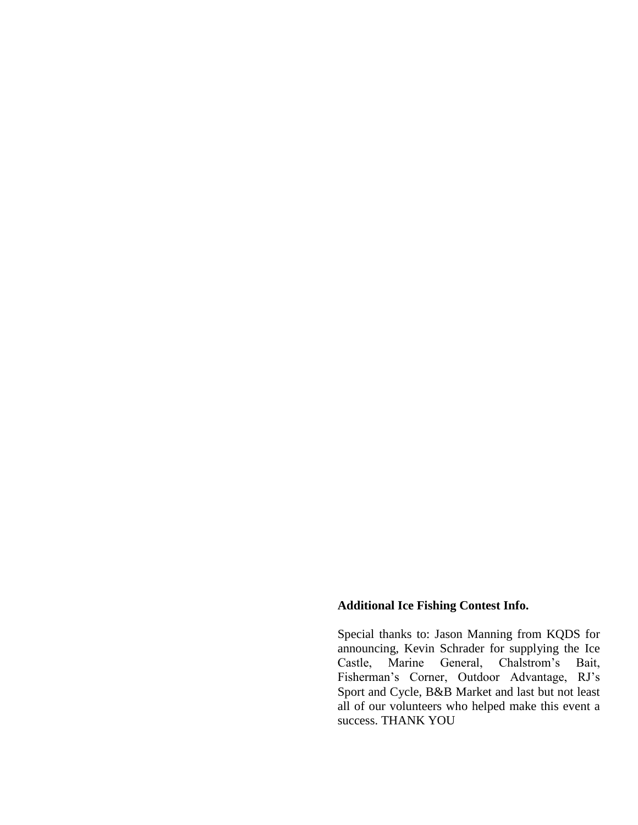# **Additional Ice Fishing Contest Info.**

Special thanks to: Jason Manning from KQDS for announcing, Kevin Schrader for supplying the Ice<br>Castle, Marine General, Chalstrom's Bait, Castle, Marine General, Chalstrom's Bait, Fisherman's Corner, Outdoor Advantage, RJ's Sport and Cycle, B&B Market and last but not least all of our volunteers who helped make this event a success. THANK YOU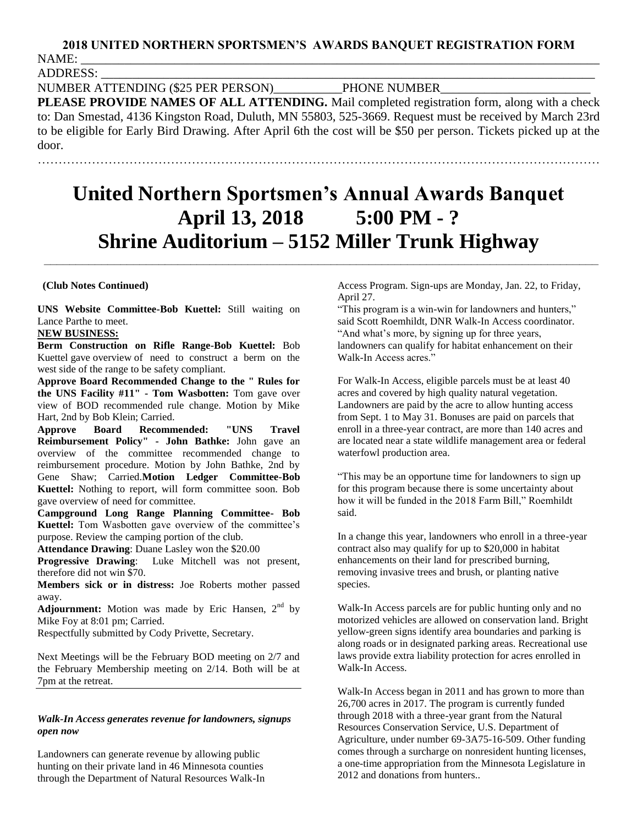# **2018 UNITED NORTHERN SPORTSMEN'S AWARDS BANQUET REGISTRATION FORM** NAME: \_\_\_\_\_\_\_\_\_\_\_\_\_\_\_\_\_\_\_\_\_\_\_\_\_\_\_\_\_\_\_\_\_\_\_\_\_\_\_\_\_\_\_\_\_\_\_\_\_\_\_\_\_\_\_\_\_\_\_\_\_\_\_\_\_\_\_\_\_\_\_\_\_\_\_\_\_\_\_\_\_\_\_

ADDRESS: \_\_\_\_\_\_\_\_\_\_\_\_\_\_\_\_\_\_\_\_\_\_\_\_\_\_\_\_\_\_\_\_\_\_\_\_\_\_\_\_\_\_\_\_\_\_\_\_\_\_\_\_\_\_\_\_\_\_\_\_\_\_\_\_\_\_\_\_\_\_\_\_\_\_\_\_\_\_\_

NUMBER ATTENDING (\$25 PER PERSON)\_\_\_\_\_\_\_\_\_\_\_PHONE NUMBER\_\_\_\_\_\_\_\_\_\_\_\_\_\_\_\_\_\_\_\_\_\_\_\_

**PLEASE PROVIDE NAMES OF ALL ATTENDING.** Mail completed registration form, along with a check to: Dan Smestad, 4136 Kingston Road, Duluth, MN 55803, 525-3669. Request must be received by March 23rd to be eligible for Early Bird Drawing. After April 6th the cost will be \$50 per person. Tickets picked up at the door.

………………………………………………………………………………………………………………………

# **United Northern Sportsmen's Annual Awards Banquet April 13, 2018 5:00 PM - ? Shrine Auditorium – 5152 Miller Trunk Highway**

 **\_\_\_\_\_\_\_\_\_\_\_\_\_\_\_\_\_\_\_\_\_\_\_\_\_\_\_\_\_\_\_\_\_\_\_\_\_\_\_\_\_\_\_\_\_\_\_\_\_\_\_\_\_\_\_\_\_\_\_\_\_\_\_\_\_\_\_\_\_\_\_\_\_\_\_\_\_\_\_\_\_\_\_\_\_\_\_** 

#### **(Club Notes Continued)**

**UNS Website Committee-Bob Kuettel:** Still waiting on Lance Parthe to meet.

#### **NEW BUSINESS:**

**Berm Construction on Rifle Range-Bob Kuettel:** Bob Kuettel gave overview of need to construct a berm on the west side of the range to be safety compliant.

**Approve Board Recommended Change to the " Rules for the UNS Facility #11" - Tom Wasbotten:** Tom gave over view of BOD recommended rule change. Motion by Mike Hart, 2nd by Bob Klein; Carried.

**Approve Board Recommended: "UNS Travel Reimbursement Policy" - John Bathke:** John gave an overview of the committee recommended change to reimbursement procedure. Motion by John Bathke, 2nd by Gene Shaw; Carried.**Motion Ledger Committee-Bob Kuettel:** Nothing to report, will form committee soon. Bob gave overview of need for committee.

**Campground Long Range Planning Committee- Bob Kuettel:** Tom Wasbotten gave overview of the committee's purpose. Review the camping portion of the club.

**Attendance Drawing**: Duane Lasley won the \$20.00

**Progressive Drawing**: Luke Mitchell was not present, therefore did not win \$70.

**Members sick or in distress:** Joe Roberts mother passed away.

**Adjournment:** Motion was made by Eric Hansen,  $2<sup>nd</sup>$  by Mike Foy at 8:01 pm; Carried.

Respectfully submitted by Cody Privette, Secretary.

Next Meetings will be the February BOD meeting on 2/7 and the February Membership meeting on 2/14. Both will be at 7pm at the retreat.

#### *Walk-In Access generates revenue for landowners, signups open now*

Landowners can generate revenue by allowing public hunting on their private land in 46 Minnesota counties through the Department of Natural Resources Walk-In Access Program. Sign-ups are Monday, Jan. 22, to Friday, April 27.

"This program is a win-win for landowners and hunters," said Scott Roemhildt, DNR Walk-In Access coordinator. "And what's more, by signing up for three years, landowners can qualify for habitat enhancement on their Walk-In Access acres."

For Walk-In Access, eligible parcels must be at least 40 acres and covered by high quality natural vegetation. Landowners are paid by the acre to allow hunting access from Sept. 1 to May 31. Bonuses are paid on parcels that enroll in a three-year contract, are more than 140 acres and are located near a state wildlife management area or federal waterfowl production area.

"This may be an opportune time for landowners to sign up for this program because there is some uncertainty about how it will be funded in the 2018 Farm Bill," Roemhildt said.

In a change this year, landowners who enroll in a three-year contract also may qualify for up to \$20,000 in habitat enhancements on their land for prescribed burning, removing invasive trees and brush, or planting native species.

Walk-In Access parcels are for public hunting only and no motorized vehicles are allowed on conservation land. Bright yellow-green signs identify area boundaries and parking is along roads or in designated parking areas. Recreational use laws provide extra liability protection for acres enrolled in Walk-In Access.

Walk-In Access began in 2011 and has grown to more than 26,700 acres in 2017. The program is currently funded through 2018 with a three-year grant from the Natural Resources Conservation Service, U.S. Department of Agriculture, under number 69-3A75-16-509. Other funding comes through a surcharge on nonresident hunting licenses, a one-time appropriation from the Minnesota Legislature in 2012 and donations from hunters..